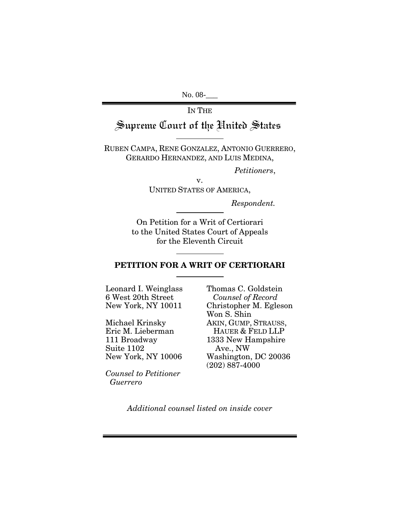No. 08-

IN THE

# Supreme Court of the United States

RUBEN CAMPA, RENE GONZALEZ, ANTONIO GUERRERO, GERARDO HERNANDEZ, AND LUIS MEDINA,

 *Petitioners*,

v. UNITED STATES OF AMERICA,

*Respondent.* 

On Petition for a Writ of Certiorari to the United States Court of Appeals for the Eleventh Circuit

#### **PETITION FOR A WRIT OF CERTIORARI**

Leonard I. Weinglass 6 West 20th Street New York, NY 10011

Michael Krinsky Eric M. Lieberman 111 Broadway Suite 1102 New York, NY 10006

*Counsel to Petitioner Guerrero* 

Thomas C. Goldstein *Counsel of Record*  Christopher M. Egleson Won S. Shin AKIN, GUMP, STRAUSS, HAUER & FELD LLP 1333 New Hampshire Ave., NW Washington, DC 20036 (202) 887-4000

*Additional counsel listed on inside cover*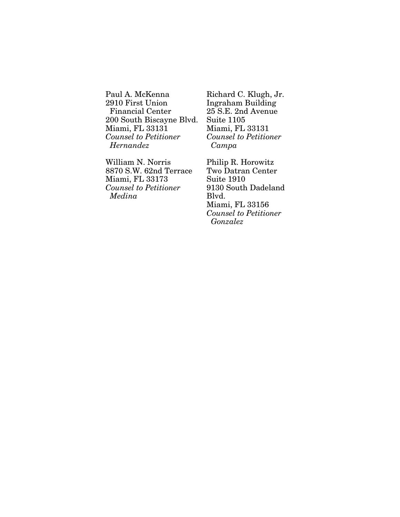Paul A. McKenna 2910 First Union Financial Center 200 South Biscayne Blvd. Miami, FL 33131 *Counsel to Petitioner Hernandez* 

William N. Norris 8870 S.W. 62nd Terrace Miami, FL 33173 *Counsel to Petitioner Medina* 

Richard C. Klugh, Jr. Ingraham Building 25 S.E. 2nd Avenue Suite 1105 Miami, FL 33131 *Counsel to Petitioner Campa* 

Philip R. Horowitz Two Datran Center Suite 1910 9130 South Dadeland Blvd. Miami, FL 33156 *Counsel to Petitioner Gonzalez*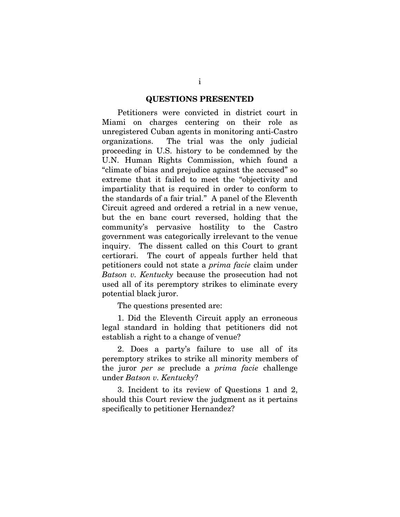#### **QUESTIONS PRESENTED**

Petitioners were convicted in district court in Miami on charges centering on their role as unregistered Cuban agents in monitoring anti-Castro organizations. The trial was the only judicial proceeding in U.S. history to be condemned by the U.N. Human Rights Commission, which found a "climate of bias and prejudice against the accused" so extreme that it failed to meet the "objectivity and impartiality that is required in order to conform to the standards of a fair trial." A panel of the Eleventh Circuit agreed and ordered a retrial in a new venue, but the en banc court reversed, holding that the community's pervasive hostility to the Castro government was categorically irrelevant to the venue inquiry. The dissent called on this Court to grant certiorari. The court of appeals further held that petitioners could not state a *prima facie* claim under *Batson v. Kentucky* because the prosecution had not used all of its peremptory strikes to eliminate every potential black juror.

The questions presented are:

1. Did the Eleventh Circuit apply an erroneous legal standard in holding that petitioners did not establish a right to a change of venue?

2. Does a party's failure to use all of its peremptory strikes to strike all minority members of the juror *per se* preclude a *prima facie* challenge under *Batson v. Kentucky*?

3. Incident to its review of Questions 1 and 2, should this Court review the judgment as it pertains specifically to petitioner Hernandez?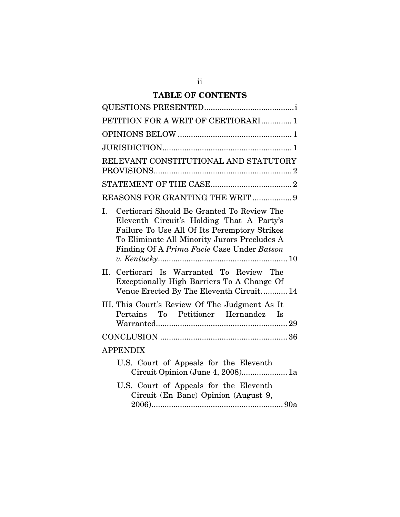## **TABLE OF CONTENTS**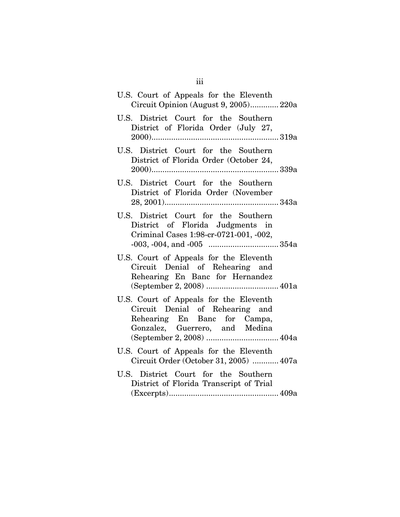| U.S. Court of Appeals for the Eleventh<br>Circuit Opinion (August 9, 2005) 220a                                                             |
|---------------------------------------------------------------------------------------------------------------------------------------------|
| U.S. District Court for the Southern<br>District of Florida Order (July 27,                                                                 |
| U.S. District Court for the Southern<br>District of Florida Order (October 24,                                                              |
| U.S. District Court for the Southern<br>District of Florida Order (November                                                                 |
| U.S. District Court for the Southern<br>District of Florida Judgments in<br>Criminal Cases 1:98-cr-0721-001, -002,                          |
| U.S. Court of Appeals for the Eleventh<br>Circuit Denial of Rehearing and<br>Rehearing En Banc for Hernandez                                |
| U.S. Court of Appeals for the Eleventh<br>Circuit Denial of Rehearing and<br>Rehearing En Banc for Campa,<br>Gonzalez, Guerrero, and Medina |
| U.S. Court of Appeals for the Eleventh<br>Circuit Order (October 31, 2005)  407a                                                            |
| U.S. District Court for the Southern<br>District of Florida Transcript of Trial                                                             |

iii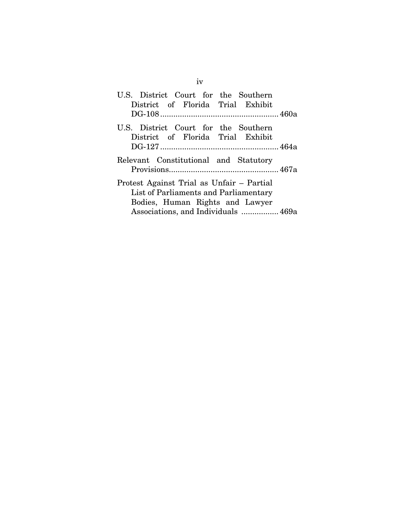| U.S. District Court for the Southern                                                                                                                         |  |  |
|--------------------------------------------------------------------------------------------------------------------------------------------------------------|--|--|
| District of Florida Trial Exhibit                                                                                                                            |  |  |
|                                                                                                                                                              |  |  |
| U.S. District Court for the Southern<br>District of Florida Trial Exhibit                                                                                    |  |  |
| Relevant Constitutional and Statutory                                                                                                                        |  |  |
| Protest Against Trial as Unfair – Partial<br>List of Parliaments and Parliamentary<br>Bodies, Human Rights and Lawyer<br>Associations, and Individuals  469a |  |  |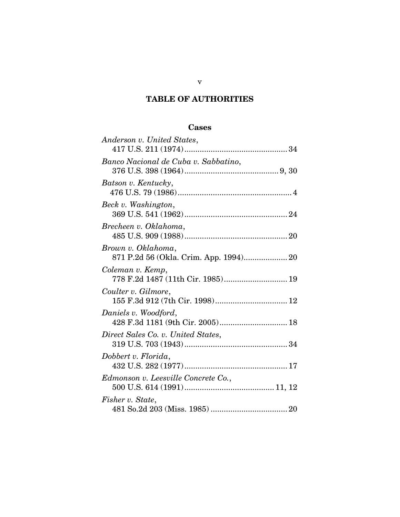## **TABLE OF AUTHORITIES**

## **Cases**

| Anderson v. United States,                               |
|----------------------------------------------------------|
| Banco Nacional de Cuba v. Sabbatino,                     |
| Batson v. Kentucky,                                      |
| Beck v. Washington,                                      |
| Brecheen v. Oklahoma,                                    |
| Brown v. Oklahoma,                                       |
| Coleman v. Kemp,<br>778 F.2d 1487 (11th Cir. 1985) 19    |
| Coulter v. Gilmore,<br>155 F.3d 912 (7th Cir. 1998) 12   |
| Daniels v. Woodford,<br>428 F.3d 1181 (9th Cir. 2005) 18 |
| Direct Sales Co. v. United States,                       |
| Dobbert v. Florida,                                      |
| Edmonson v. Leesville Concrete Co.,                      |
| Fisher v. State,                                         |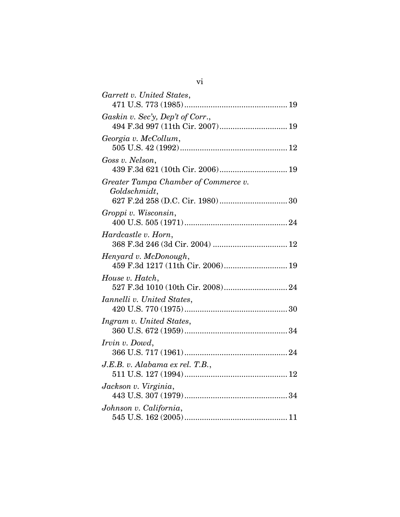| Garrett v. United States,            |
|--------------------------------------|
|                                      |
| Gaskin v. Sec'y, Dep't of Corr.,     |
| 494 F.3d 997 (11th Cir. 2007) 19     |
| Georgia v. McCollum,                 |
|                                      |
| Goss v. Nelson,                      |
|                                      |
| Greater Tampa Chamber of Commerce v. |
| Goldschmidt,                         |
|                                      |
| Groppi v. Wisconsin,                 |
|                                      |
| Hardcastle v. Horn,                  |
|                                      |
| Henyard v. McDonough,                |
| 459 F.3d 1217 (11th Cir. 2006) 19    |
| House v. Hatch,                      |
|                                      |
| Iannelli v. United States,           |
|                                      |
| Ingram v. United States,             |
|                                      |
| <i>Irvin v. Dowd,</i>                |
|                                      |
| J.E.B. v. Alabama ex rel. T.B.,      |
|                                      |
| Jackson v. Virginia,                 |
|                                      |
| Johnson v. California,               |
|                                      |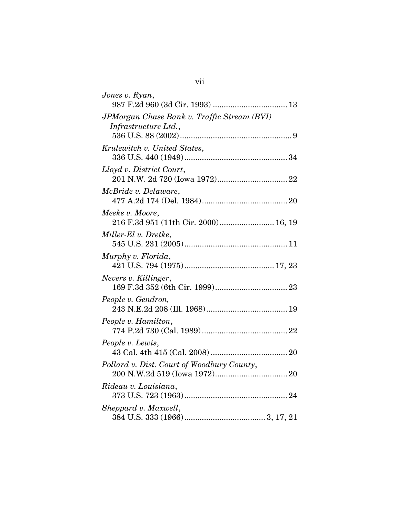| Jones v. Ryan,                                                      |
|---------------------------------------------------------------------|
| JPMorgan Chase Bank v. Traffic Stream (BVI)<br>Infrastructure Ltd., |
|                                                                     |
| Krulewitch v. United States,                                        |
| Lloyd v. District Court,                                            |
| <i>McBride v. Delaware,</i>                                         |
| Meeks v. Moore,<br>216 F.3d 951 (11th Cir. 2000) 16, 19             |
| Miller-El v. Dretke,                                                |
| Murphy v. Florida,                                                  |
| Nevers v. Killinger,                                                |
| People v. Gendron,                                                  |
| People v. Hamilton,                                                 |
| People v. Lewis,                                                    |
| Pollard v. Dist. Court of Woodbury County,                          |
| Rideau v. Louisiana,                                                |
| Sheppard v. Maxwell,                                                |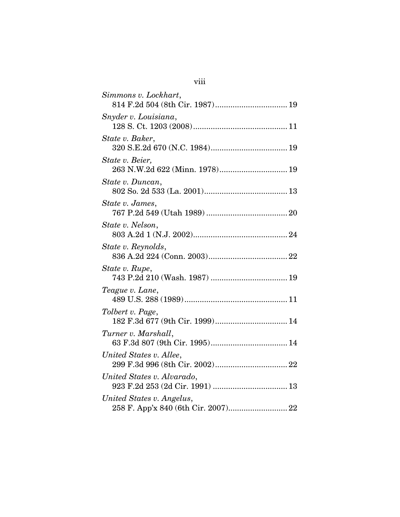| Simmons v. Lockhart,                              |
|---------------------------------------------------|
|                                                   |
| Snyder v. Louisiana,                              |
| State v. Baker,                                   |
| State v. Beier,<br>263 N.W.2d 622 (Minn. 1978) 19 |
| State v. Duncan,                                  |
| State v. James,                                   |
| State v. Nelson,                                  |
| State v. Reynolds,                                |
| State v. Rupe,                                    |
| Teague v. Lane,                                   |
| Tolbert v. Page,                                  |
| Turner v. Marshall,                               |
| United States v. Allee,                           |
| United States v. Alvarado,                        |
| United States v. Angelus,                         |

# viii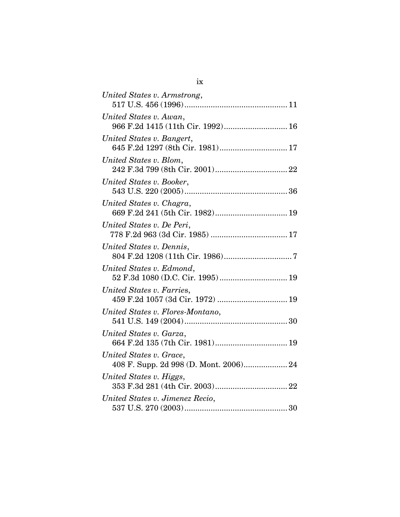| United States v. Armstrong,                                   |
|---------------------------------------------------------------|
|                                                               |
| United States v. Awan,<br>966 F.2d 1415 (11th Cir. 1992) 16   |
| United States v. Bangert,<br>645 F.2d 1297 (8th Cir. 1981) 17 |
| United States v. Blom,                                        |
| United States v. Booker,                                      |
| United States v. Chagra,<br>669 F.2d 241 (5th Cir. 1982) 19   |
| United States v. De Peri,                                     |
| United States v. Dennis,                                      |
| United States v. Edmond,<br>52 F.3d 1080 (D.C. Cir. 1995) 19  |
| United States v. Farries,<br>459 F.2d 1057 (3d Cir. 1972)  19 |
| United States v. Flores-Montano,                              |
| United States v. Garza,<br>664 F.2d 135 (7th Cir. 1981) 19    |
| United States v. Grace,                                       |
| United States v. Higgs,                                       |
| United States v. Jimenez Recio,                               |

| ×<br>٦ |   |
|--------|---|
|        | v |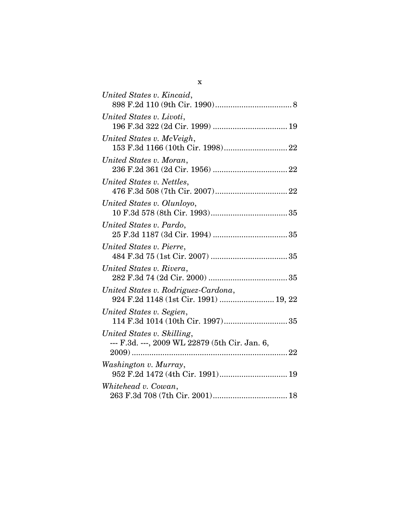| United States v. Kincaid,                                                    |
|------------------------------------------------------------------------------|
| United States v. Livoti,                                                     |
| United States v. McVeigh,                                                    |
| United States v. Moran,                                                      |
| United States v. Nettles,                                                    |
| United States v. Olunloyo,                                                   |
| United States v. Pardo,                                                      |
| United States v. Pierre,                                                     |
| United States v. Rivera,                                                     |
| United States v. Rodriguez-Cardona,<br>924 F.2d 1148 (1st Cir. 1991)  19, 22 |
| United States v. Segien,                                                     |
| United States v. Skilling,<br>--- F.3d. ---, 2009 WL 22879 (5th Cir. Jan. 6, |
| Washington v. Murray,<br>952 F.2d 1472 (4th Cir. 1991) 19                    |
| Whitehead v. Cowan,                                                          |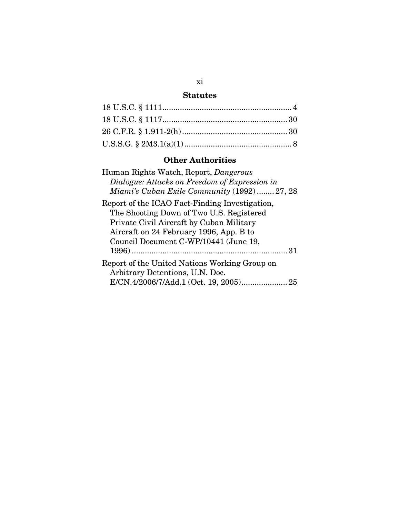## **Statutes**

## **Other Authorities**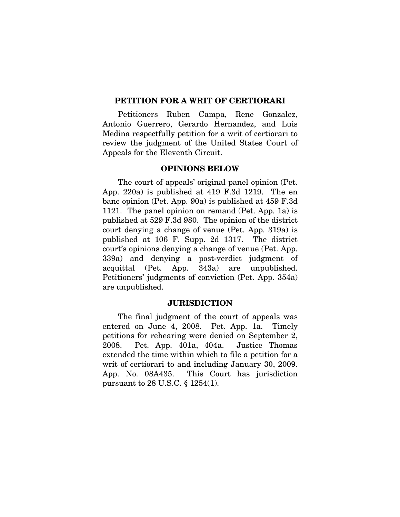#### **PETITION FOR A WRIT OF CERTIORARI**

Petitioners Ruben Campa, Rene Gonzalez, Antonio Guerrero, Gerardo Hernandez, and Luis Medina respectfully petition for a writ of certiorari to review the judgment of the United States Court of Appeals for the Eleventh Circuit.

#### **OPINIONS BELOW**

The court of appeals' original panel opinion (Pet. App. 220a) is published at 419 F.3d 1219. The en banc opinion (Pet. App. 90a) is published at 459 F.3d 1121. The panel opinion on remand (Pet. App. 1a) is published at 529 F.3d 980. The opinion of the district court denying a change of venue (Pet. App. 319a) is published at 106 F. Supp. 2d 1317. The district court's opinions denying a change of venue (Pet. App. 339a) and denying a post-verdict judgment of acquittal (Pet. App. 343a) are unpublished. Petitioners' judgments of conviction (Pet. App. 354a) are unpublished.

#### **JURISDICTION**

The final judgment of the court of appeals was entered on June 4, 2008. Pet. App. 1a. Timely petitions for rehearing were denied on September 2, 2008. Pet. App. 401a, 404a. Justice Thomas extended the time within which to file a petition for a writ of certiorari to and including January 30, 2009. App. No. 08A435. This Court has jurisdiction pursuant to 28 U.S.C. § 1254(1).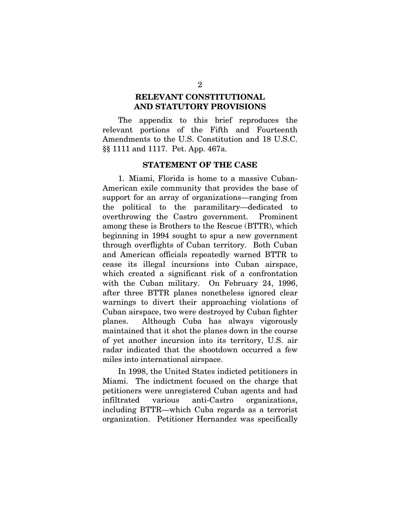### **RELEVANT CONSTITUTIONAL AND STATUTORY PROVISIONS**

The appendix to this brief reproduces the relevant portions of the Fifth and Fourteenth Amendments to the U.S. Constitution and 18 U.S.C. §§ 1111 and 1117. Pet. App. 467a.

#### **STATEMENT OF THE CASE**

1. Miami, Florida is home to a massive Cuban-American exile community that provides the base of support for an array of organizations—ranging from the political to the paramilitary—dedicated to overthrowing the Castro government. Prominent among these is Brothers to the Rescue (BTTR), which beginning in 1994 sought to spur a new government through overflights of Cuban territory. Both Cuban and American officials repeatedly warned BTTR to cease its illegal incursions into Cuban airspace, which created a significant risk of a confrontation with the Cuban military. On February 24, 1996, after three BTTR planes nonetheless ignored clear warnings to divert their approaching violations of Cuban airspace, two were destroyed by Cuban fighter planes. Although Cuba has always vigorously maintained that it shot the planes down in the course of yet another incursion into its territory, U.S. air radar indicated that the shootdown occurred a few miles into international airspace.

In 1998, the United States indicted petitioners in Miami. The indictment focused on the charge that petitioners were unregistered Cuban agents and had infiltrated various anti-Castro organizations, including BTTR—which Cuba regards as a terrorist organization. Petitioner Hernandez was specifically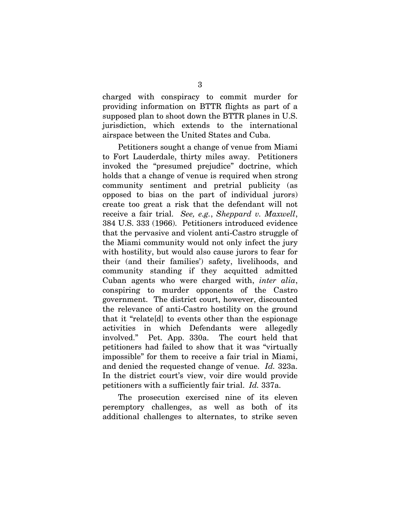charged with conspiracy to commit murder for providing information on BTTR flights as part of a supposed plan to shoot down the BTTR planes in U.S. jurisdiction, which extends to the international airspace between the United States and Cuba.

Petitioners sought a change of venue from Miami to Fort Lauderdale, thirty miles away. Petitioners invoked the "presumed prejudice" doctrine, which holds that a change of venue is required when strong community sentiment and pretrial publicity (as opposed to bias on the part of individual jurors) create too great a risk that the defendant will not receive a fair trial. *See, e.g.*, *Sheppard v. Maxwell*, 384 U.S. 333 (1966). Petitioners introduced evidence that the pervasive and violent anti-Castro struggle of the Miami community would not only infect the jury with hostility, but would also cause jurors to fear for their (and their families') safety, livelihoods, and community standing if they acquitted admitted Cuban agents who were charged with, *inter alia*, conspiring to murder opponents of the Castro government. The district court, however, discounted the relevance of anti-Castro hostility on the ground that it "relate[d] to events other than the espionage activities in which Defendants were allegedly involved." Pet. App. 330a. The court held that petitioners had failed to show that it was "virtually impossible" for them to receive a fair trial in Miami, and denied the requested change of venue. *Id.* 323a. In the district court's view, voir dire would provide petitioners with a sufficiently fair trial. *Id.* 337a.

The prosecution exercised nine of its eleven peremptory challenges, as well as both of its additional challenges to alternates, to strike seven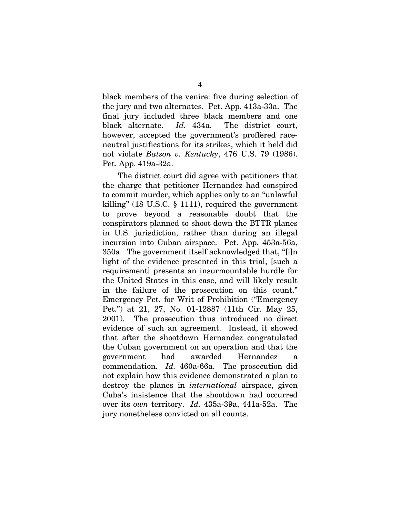black members of the venire: five during selection of the jury and two alternates. Pet. App. 413a-33a. The final jury included three black members and one black alternate. *Id.* 434a. The district court, however, accepted the government's proffered raceneutral justifications for its strikes, which it held did not violate *Batson v. Kentucky*, 476 U.S. 79 (1986). Pet. App. 419a-32a.

The district court did agree with petitioners that the charge that petitioner Hernandez had conspired to commit murder, which applies only to an "unlawful killing" (18 U.S.C. § 1111), required the government to prove beyond a reasonable doubt that the conspirators planned to shoot down the BTTR planes in U.S. jurisdiction, rather than during an illegal incursion into Cuban airspace. Pet. App. 453a-56a, 350a. The government itself acknowledged that, "[i]n light of the evidence presented in this trial, [such a requirement] presents an insurmountable hurdle for the United States in this case, and will likely result in the failure of the prosecution on this count." Emergency Pet. for Writ of Prohibition ("Emergency Pet.") at 21, 27, No. 01-12887 (11th Cir. May 25, 2001). The prosecution thus introduced no direct evidence of such an agreement. Instead, it showed that after the shootdown Hernandez congratulated the Cuban government on an operation and that the government had awarded Hernandez a commendation. *Id.* 460a-66a. The prosecution did not explain how this evidence demonstrated a plan to destroy the planes in *international* airspace, given Cuba's insistence that the shootdown had occurred over its *own* territory. *Id.* 435a-39a, 441a-52a. The jury nonetheless convicted on all counts.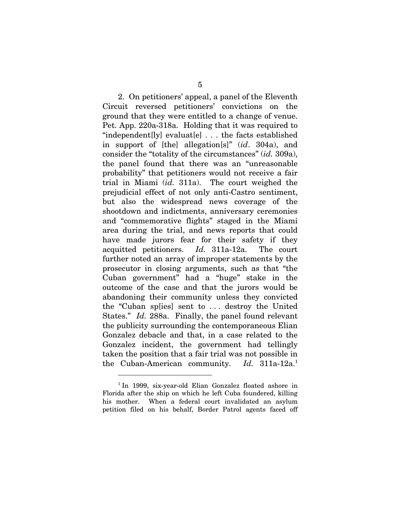2. On petitioners' appeal, a panel of the Eleventh Circuit reversed petitioners' convictions on the ground that they were entitled to a change of venue. Pet. App. 220a-318a. Holding that it was required to "independent[ly] evaluat[e] . . . the facts established in support of [the] allegation[s]" (*id*. 304a), and consider the "totality of the circumstances" (*id.* 309a), the panel found that there was an "unreasonable probability" that petitioners would not receive a fair trial in Miami (*id.* 311a). The court weighed the prejudicial effect of not only anti-Castro sentiment, but also the widespread news coverage of the shootdown and indictments, anniversary ceremonies and "commemorative flights" staged in the Miami area during the trial, and news reports that could have made jurors fear for their safety if they acquitted petitioners. *Id.* 311a-12a. The court further noted an array of improper statements by the prosecutor in closing arguments, such as that "the Cuban government" had a "huge" stake in the outcome of the case and that the jurors would be abandoning their community unless they convicted the "Cuban sp[ies] sent to . . . destroy the United States." *Id.* 288a. Finally, the panel found relevant the publicity surrounding the contemporaneous Elian Gonzalez debacle and that, in a case related to the Gonzalez incident, the government had tellingly taken the position that a fair trial was not possible in the Cuban-American community. *Id.* 311a-12a.1

l

<sup>&</sup>lt;sup>1</sup> In 1999, six-year-old Elian Gonzalez floated ashore in Florida after the ship on which he left Cuba foundered, killing his mother. When a federal court invalidated an asylum petition filed on his behalf, Border Patrol agents faced off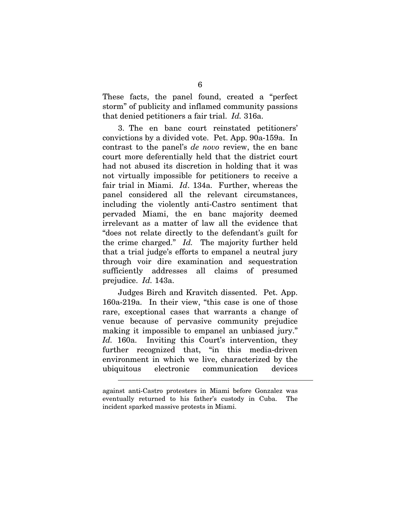These facts, the panel found, created a "perfect storm" of publicity and inflamed community passions that denied petitioners a fair trial. *Id.* 316a.

3. The en banc court reinstated petitioners' convictions by a divided vote. Pet. App. 90a-159a. In contrast to the panel's *de novo* review, the en banc court more deferentially held that the district court had not abused its discretion in holding that it was not virtually impossible for petitioners to receive a fair trial in Miami. *Id*. 134a. Further, whereas the panel considered all the relevant circumstances, including the violently anti-Castro sentiment that pervaded Miami, the en banc majority deemed irrelevant as a matter of law all the evidence that "does not relate directly to the defendant's guilt for the crime charged." *Id.* The majority further held that a trial judge's efforts to empanel a neutral jury through voir dire examination and sequestration sufficiently addresses all claims of presumed prejudice. *Id.* 143a.

Judges Birch and Kravitch dissented. Pet. App. 160a-219a. In their view, "this case is one of those rare, exceptional cases that warrants a change of venue because of pervasive community prejudice making it impossible to empanel an unbiased jury." Id. 160a. Inviting this Court's intervention, they further recognized that, "in this media-driven environment in which we live, characterized by the ubiquitous electronic communication devices

1

against anti-Castro protesters in Miami before Gonzalez was eventually returned to his father's custody in Cuba. The incident sparked massive protests in Miami.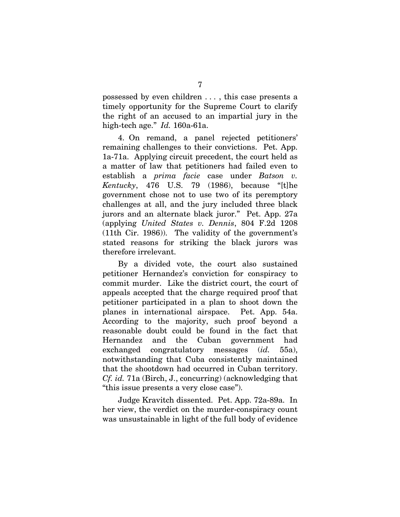possessed by even children . . . , this case presents a timely opportunity for the Supreme Court to clarify the right of an accused to an impartial jury in the high-tech age." *Id.* 160a-61a.

4. On remand, a panel rejected petitioners' remaining challenges to their convictions. Pet. App. 1a-71a. Applying circuit precedent, the court held as a matter of law that petitioners had failed even to establish a *prima facie* case under *Batson v. Kentucky*, 476 U.S. 79 (1986), because "[t]he government chose not to use two of its peremptory challenges at all, and the jury included three black jurors and an alternate black juror." Pet. App. 27a (applying *United States v. Dennis*, 804 F.2d 1208 (11th Cir. 1986)). The validity of the government's stated reasons for striking the black jurors was therefore irrelevant.

By a divided vote, the court also sustained petitioner Hernandez's conviction for conspiracy to commit murder. Like the district court, the court of appeals accepted that the charge required proof that petitioner participated in a plan to shoot down the planes in international airspace. Pet. App. 54a. According to the majority, such proof beyond a reasonable doubt could be found in the fact that Hernandez and the Cuban government had exchanged congratulatory messages (*id.* 55a), notwithstanding that Cuba consistently maintained that the shootdown had occurred in Cuban territory. *Cf. id.* 71a (Birch, J., concurring) (acknowledging that "this issue presents a very close case").

Judge Kravitch dissented. Pet. App. 72a-89a. In her view, the verdict on the murder-conspiracy count was unsustainable in light of the full body of evidence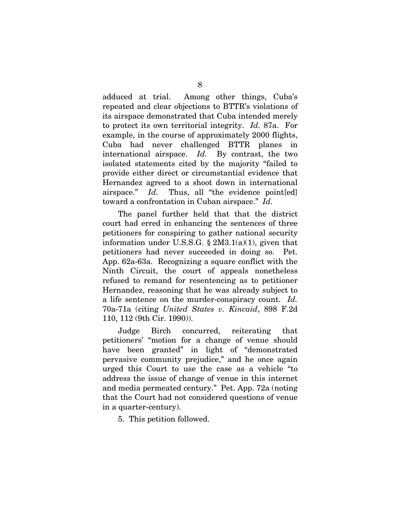adduced at trial. Among other things, Cuba's repeated and clear objections to BTTR's violations of its airspace demonstrated that Cuba intended merely to protect its own territorial integrity. *Id.* 87a. For example, in the course of approximately 2000 flights, Cuba had never challenged BTTR planes in international airspace. *Id.* By contrast, the two isolated statements cited by the majority "failed to provide either direct or circumstantial evidence that Hernandez agreed to a shoot down in international airspace." *Id.* Thus, all "the evidence point [ed] toward a confrontation in Cuban airspace." *Id.*

The panel further held that that the district court had erred in enhancing the sentences of three petitioners for conspiring to gather national security information under U.S.S.G.  $\S 2M3.1(a)(1)$ , given that petitioners had never succeeded in doing so. Pet. App. 62a-63a. Recognizing a square conflict with the Ninth Circuit, the court of appeals nonetheless refused to remand for resentencing as to petitioner Hernandez, reasoning that he was already subject to a life sentence on the murder-conspiracy count. *Id.* 70a-71a (citing *United States v. Kincaid*, 898 F.2d 110, 112 (9th Cir. 1990)).

Judge Birch concurred, reiterating that petitioners' "motion for a change of venue should have been granted" in light of "demonstrated" pervasive community prejudice," and he once again urged this Court to use the case as a vehicle "to address the issue of change of venue in this internet and media permeated century." Pet. App. 72a (noting that the Court had not considered questions of venue in a quarter-century).

5. This petition followed.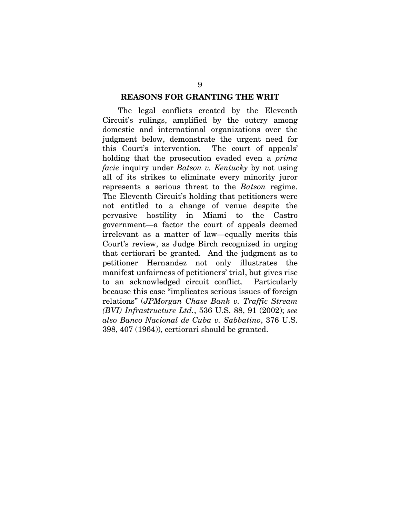#### **REASONS FOR GRANTING THE WRIT**

The legal conflicts created by the Eleventh Circuit's rulings, amplified by the outcry among domestic and international organizations over the judgment below, demonstrate the urgent need for this Court's intervention. The court of appeals' holding that the prosecution evaded even a *prima facie* inquiry under *Batson v. Kentucky* by not using all of its strikes to eliminate every minority juror represents a serious threat to the *Batson* regime. The Eleventh Circuit's holding that petitioners were not entitled to a change of venue despite the pervasive hostility in Miami to the Castro government—a factor the court of appeals deemed irrelevant as a matter of law—equally merits this Court's review, as Judge Birch recognized in urging that certiorari be granted. And the judgment as to petitioner Hernandez not only illustrates the manifest unfairness of petitioners' trial, but gives rise to an acknowledged circuit conflict. Particularly because this case "implicates serious issues of foreign relations" (*JPMorgan Chase Bank v. Traffic Stream (BVI) Infrastructure Ltd.*, 536 U.S. 88, 91 (2002); *see also Banco Nacional de Cuba v. Sabbatino*, 376 U.S. 398, 407 (1964)), certiorari should be granted.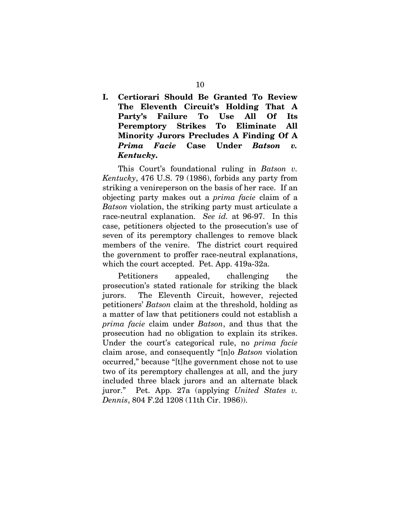**I. Certiorari Should Be Granted To Review The Eleventh Circuit's Holding That A Party's Failure To Use All Of Its Peremptory Strikes To Eliminate All Minority Jurors Precludes A Finding Of A**  *Prima Facie* **Case Under** *Batson v. Kentucky***.** 

This Court's foundational ruling in *Batson v. Kentucky*, 476 U.S. 79 (1986), forbids any party from striking a venireperson on the basis of her race. If an objecting party makes out a *prima facie* claim of a *Batson* violation, the striking party must articulate a race-neutral explanation. *See id.* at 96-97. In this case, petitioners objected to the prosecution's use of seven of its peremptory challenges to remove black members of the venire. The district court required the government to proffer race-neutral explanations, which the court accepted. Pet. App. 419a-32a.

Petitioners appealed, challenging the prosecution's stated rationale for striking the black jurors. The Eleventh Circuit, however, rejected petitioners' *Batson* claim at the threshold, holding as a matter of law that petitioners could not establish a *prima facie* claim under *Batson*, and thus that the prosecution had no obligation to explain its strikes. Under the court's categorical rule, no *prima facie* claim arose, and consequently "[n]o *Batson* violation occurred," because "[t]he government chose not to use two of its peremptory challenges at all, and the jury included three black jurors and an alternate black juror." Pet. App. 27a (applying *United States v. Dennis*, 804 F.2d 1208 (11th Cir. 1986)).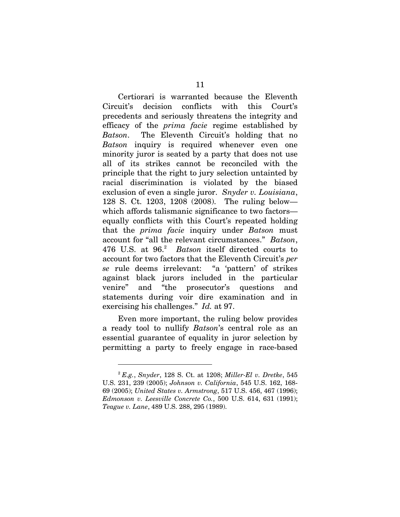Certiorari is warranted because the Eleventh Circuit's decision conflicts with this Court's precedents and seriously threatens the integrity and efficacy of the *prima facie* regime established by *Batson*. The Eleventh Circuit's holding that no *Batson* inquiry is required whenever even one minority juror is seated by a party that does not use all of its strikes cannot be reconciled with the principle that the right to jury selection untainted by racial discrimination is violated by the biased exclusion of even a single juror. *Snyder v. Louisiana*, 128 S. Ct. 1203, 1208 (2008). The ruling below which affords talismanic significance to two factors equally conflicts with this Court's repeated holding that the *prima facie* inquiry under *Batson* must account for "all the relevant circumstances." *Batson*, 476 U.S. at 96.2 *Batson* itself directed courts to account for two factors that the Eleventh Circuit's *per se* rule deems irrelevant: "a 'pattern' of strikes against black jurors included in the particular venire" and "the prosecutor's questions and statements during voir dire examination and in exercising his challenges." *Id.* at 97.

Even more important, the ruling below provides a ready tool to nullify *Batson*'s central role as an essential guarantee of equality in juror selection by permitting a party to freely engage in race-based

l

<sup>2</sup> *E.g.*, *Snyder*, 128 S. Ct. at 1208; *Miller-El v. Dretke*, 545 U.S. 231, 239 (2005); *Johnson v. California*, 545 U.S. 162, 168- 69 (2005); *United States v. Armstrong*, 517 U.S. 456, 467 (1996); *Edmonson v. Leesville Concrete Co.*, 500 U.S. 614, 631 (1991); *Teague v. Lane*, 489 U.S. 288, 295 (1989).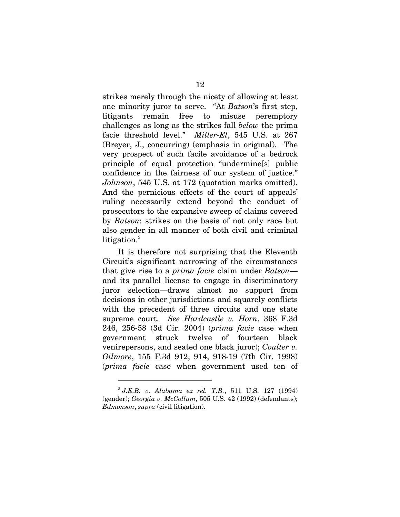strikes merely through the nicety of allowing at least one minority juror to serve. "At *Batson*'s first step, litigants remain free to misuse peremptory challenges as long as the strikes fall *below* the prima facie threshold level." *Miller-El*, 545 U.S. at 267 (Breyer, J., concurring) (emphasis in original). The very prospect of such facile avoidance of a bedrock principle of equal protection "undermine[s] public confidence in the fairness of our system of justice." *Johnson*, 545 U.S. at 172 (quotation marks omitted). And the pernicious effects of the court of appeals' ruling necessarily extend beyond the conduct of prosecutors to the expansive sweep of claims covered by *Batson*: strikes on the basis of not only race but also gender in all manner of both civil and criminal litigation.<sup>3</sup>

It is therefore not surprising that the Eleventh Circuit's significant narrowing of the circumstances that give rise to a *prima facie* claim under *Batson* and its parallel license to engage in discriminatory juror selection—draws almost no support from decisions in other jurisdictions and squarely conflicts with the precedent of three circuits and one state supreme court. *See Hardcastle v. Horn*, 368 F.3d 246, 256-58 (3d Cir. 2004) (*prima facie* case when government struck twelve of fourteen black venirepersons, and seated one black juror); *Coulter v. Gilmore*, 155 F.3d 912, 914, 918-19 (7th Cir. 1998) (*prima facie* case when government used ten of

l

<sup>3</sup>  *J.E.B. v. Alabama ex rel. T.B.*, 511 U.S. 127 (1994) (gender); *Georgia v. McCollum*, 505 U.S. 42 (1992) (defendants); *Edmonson*, *supra* (civil litigation).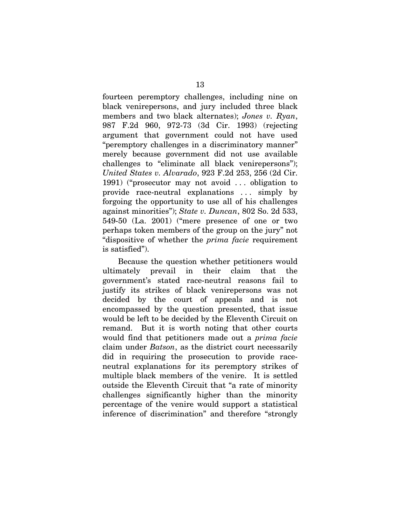fourteen peremptory challenges, including nine on black venirepersons, and jury included three black members and two black alternates); *Jones v. Ryan*, 987 F.2d 960, 972-73 (3d Cir. 1993) (rejecting argument that government could not have used "peremptory challenges in a discriminatory manner" merely because government did not use available challenges to "eliminate all black venirepersons"); *United States v. Alvarado*, 923 F.2d 253, 256 (2d Cir. 1991) ("prosecutor may not avoid . . . obligation to provide race-neutral explanations . . . simply by forgoing the opportunity to use all of his challenges against minorities"); *State v. Duncan*, 802 So. 2d 533, 549-50 (La. 2001) ("mere presence of one or two perhaps token members of the group on the jury" not "dispositive of whether the *prima facie* requirement is satisfied").

Because the question whether petitioners would ultimately prevail in their claim that the government's stated race-neutral reasons fail to justify its strikes of black venirepersons was not decided by the court of appeals and is not encompassed by the question presented, that issue would be left to be decided by the Eleventh Circuit on remand. But it is worth noting that other courts would find that petitioners made out a *prima facie* claim under *Batson*, as the district court necessarily did in requiring the prosecution to provide raceneutral explanations for its peremptory strikes of multiple black members of the venire. It is settled outside the Eleventh Circuit that "a rate of minority challenges significantly higher than the minority percentage of the venire would support a statistical inference of discrimination" and therefore "strongly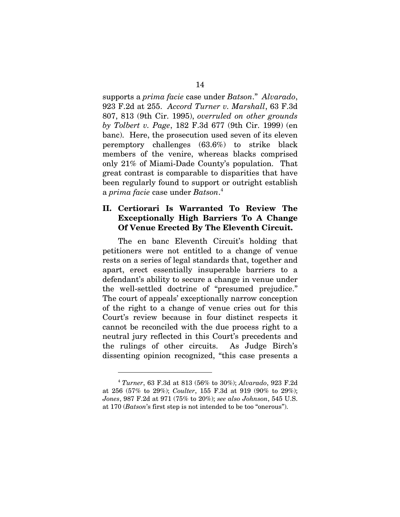supports a *prima facie* case under *Batson*." *Alvarado*, 923 F.2d at 255. *Accord Turner v. Marshall*, 63 F.3d 807, 813 (9th Cir. 1995), *overruled on other grounds by Tolbert v. Page*, 182 F.3d 677 (9th Cir. 1999) (en banc). Here, the prosecution used seven of its eleven peremptory challenges (63.6%) to strike black members of the venire, whereas blacks comprised only 21% of Miami-Dade County's population. That great contrast is comparable to disparities that have been regularly found to support or outright establish a *prima facie* case under *Batson*. 4

### **II. Certiorari Is Warranted To Review The Exceptionally High Barriers To A Change Of Venue Erected By The Eleventh Circuit.**

The en banc Eleventh Circuit's holding that petitioners were not entitled to a change of venue rests on a series of legal standards that, together and apart, erect essentially insuperable barriers to a defendant's ability to secure a change in venue under the well-settled doctrine of "presumed prejudice." The court of appeals' exceptionally narrow conception of the right to a change of venue cries out for this Court's review because in four distinct respects it cannot be reconciled with the due process right to a neutral jury reflected in this Court's precedents and the rulings of other circuits. As Judge Birch's dissenting opinion recognized, "this case presents a

l

<sup>4</sup> *Turner*, 63 F.3d at 813 (56% to 30%); *Alvarado*, 923 F.2d at 256 (57% to 29%); *Coulter*, 155 F.3d at 919 (90% to 29%); *Jones*, 987 F.2d at 971 (75% to 20%); *see also Johnson*, 545 U.S. at 170 (*Batson*'s first step is not intended to be too "onerous").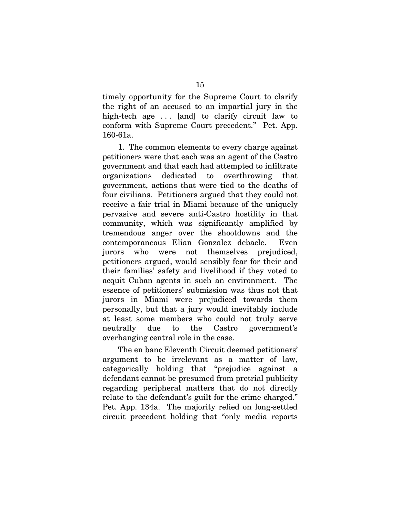timely opportunity for the Supreme Court to clarify the right of an accused to an impartial jury in the high-tech age . . . [and] to clarify circuit law to conform with Supreme Court precedent." Pet. App. 160-61a.

1. The common elements to every charge against petitioners were that each was an agent of the Castro government and that each had attempted to infiltrate organizations dedicated to overthrowing that government, actions that were tied to the deaths of four civilians. Petitioners argued that they could not receive a fair trial in Miami because of the uniquely pervasive and severe anti-Castro hostility in that community, which was significantly amplified by tremendous anger over the shootdowns and the contemporaneous Elian Gonzalez debacle. Even jurors who were not themselves prejudiced, petitioners argued, would sensibly fear for their and their families' safety and livelihood if they voted to acquit Cuban agents in such an environment. The essence of petitioners' submission was thus not that jurors in Miami were prejudiced towards them personally, but that a jury would inevitably include at least some members who could not truly serve neutrally due to the Castro government's overhanging central role in the case.

The en banc Eleventh Circuit deemed petitioners' argument to be irrelevant as a matter of law, categorically holding that "prejudice against a defendant cannot be presumed from pretrial publicity regarding peripheral matters that do not directly relate to the defendant's guilt for the crime charged." Pet. App. 134a. The majority relied on long-settled circuit precedent holding that "only media reports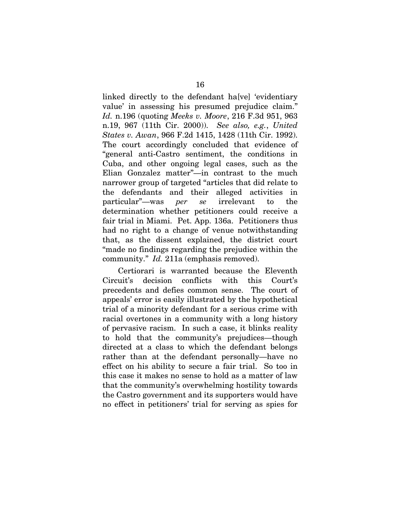linked directly to the defendant ha[ve] 'evidentiary value' in assessing his presumed prejudice claim." *Id.* n.196 (quoting *Meeks v. Moore*, 216 F.3d 951, 963 n.19, 967 (11th Cir. 2000)). *See also, e.g.*, *United States v. Awan*, 966 F.2d 1415, 1428 (11th Cir. 1992). The court accordingly concluded that evidence of "general anti-Castro sentiment, the conditions in Cuba, and other ongoing legal cases, such as the Elian Gonzalez matter"—in contrast to the much narrower group of targeted "articles that did relate to the defendants and their alleged activities in particular"—was *per se* irrelevant to the determination whether petitioners could receive a fair trial in Miami. Pet. App. 136a. Petitioners thus had no right to a change of venue notwithstanding that, as the dissent explained, the district court "made no findings regarding the prejudice within the community." *Id.* 211a (emphasis removed).

Certiorari is warranted because the Eleventh Circuit's decision conflicts with this Court's precedents and defies common sense. The court of appeals' error is easily illustrated by the hypothetical trial of a minority defendant for a serious crime with racial overtones in a community with a long history of pervasive racism. In such a case, it blinks reality to hold that the community's prejudices—though directed at a class to which the defendant belongs rather than at the defendant personally—have no effect on his ability to secure a fair trial. So too in this case it makes no sense to hold as a matter of law that the community's overwhelming hostility towards the Castro government and its supporters would have no effect in petitioners' trial for serving as spies for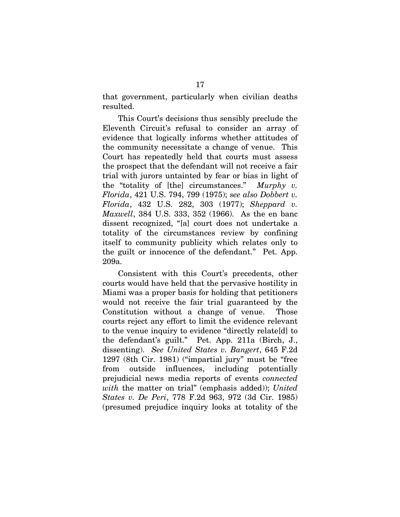that government, particularly when civilian deaths resulted.

This Court's decisions thus sensibly preclude the Eleventh Circuit's refusal to consider an array of evidence that logically informs whether attitudes of the community necessitate a change of venue. This Court has repeatedly held that courts must assess the prospect that the defendant will not receive a fair trial with jurors untainted by fear or bias in light of the "totality of [the] circumstances." *Murphy v. Florida*, 421 U.S. 794, 799 (1975); *see also Dobbert v. Florida*, 432 U.S. 282, 303 (1977); *Sheppard v. Maxwell*, 384 U.S. 333, 352 (1966). As the en banc dissent recognized, "[a] court does not undertake a totality of the circumstances review by confining itself to community publicity which relates only to the guilt or innocence of the defendant." Pet. App. 209a.

Consistent with this Court's precedents, other courts would have held that the pervasive hostility in Miami was a proper basis for holding that petitioners would not receive the fair trial guaranteed by the Constitution without a change of venue. Those courts reject any effort to limit the evidence relevant to the venue inquiry to evidence "directly relate[d] to the defendant's guilt." Pet. App. 211a (Birch, J., dissenting). *See United States v. Bangert*, 645 F.2d 1297 (8th Cir. 1981) ("impartial jury" must be "free from outside influences, including potentially prejudicial news media reports of events *connected with* the matter on trial" (emphasis added)); *United States v. De Peri*, 778 F.2d 963, 972 (3d Cir. 1985) (presumed prejudice inquiry looks at totality of the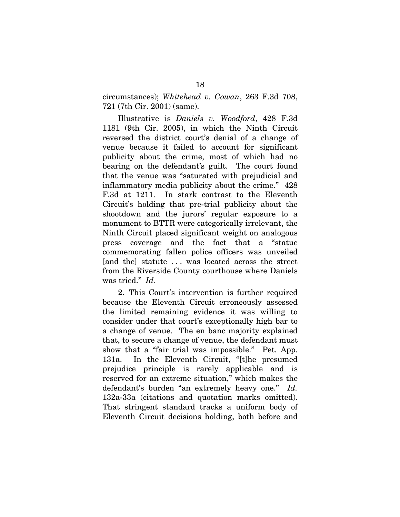circumstances); *Whitehead v. Cowan*, 263 F.3d 708, 721 (7th Cir. 2001) (same).

Illustrative is *Daniels v. Woodford*, 428 F.3d 1181 (9th Cir. 2005), in which the Ninth Circuit reversed the district court's denial of a change of venue because it failed to account for significant publicity about the crime, most of which had no bearing on the defendant's guilt. The court found that the venue was "saturated with prejudicial and inflammatory media publicity about the crime." 428 F.3d at 1211. In stark contrast to the Eleventh Circuit's holding that pre-trial publicity about the shootdown and the jurors' regular exposure to a monument to BTTR were categorically irrelevant, the Ninth Circuit placed significant weight on analogous press coverage and the fact that a "statue commemorating fallen police officers was unveiled [and the] statute . . . was located across the street from the Riverside County courthouse where Daniels was tried." *Id*.

2. This Court's intervention is further required because the Eleventh Circuit erroneously assessed the limited remaining evidence it was willing to consider under that court's exceptionally high bar to a change of venue. The en banc majority explained that, to secure a change of venue, the defendant must show that a "fair trial was impossible." Pet. App. 131a. In the Eleventh Circuit, "[t]he presumed prejudice principle is rarely applicable and is reserved for an extreme situation," which makes the defendant's burden "an extremely heavy one." *Id.* 132a-33a (citations and quotation marks omitted). That stringent standard tracks a uniform body of Eleventh Circuit decisions holding, both before and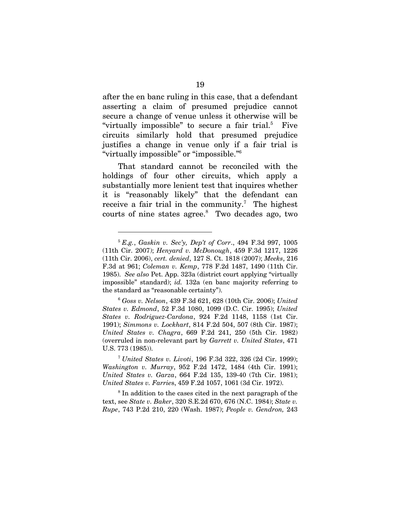after the en banc ruling in this case, that a defendant asserting a claim of presumed prejudice cannot secure a change of venue unless it otherwise will be "virtually impossible" to secure a fair trial.<sup>5</sup> Five circuits similarly hold that presumed prejudice justifies a change in venue only if a fair trial is "virtually impossible" or "impossible."6

That standard cannot be reconciled with the holdings of four other circuits, which apply a substantially more lenient test that inquires whether it is "reasonably likely" that the defendant can receive a fair trial in the community.<sup>7</sup> The highest courts of nine states agree.<sup>8</sup> Two decades ago, two

l

<sup>8</sup> In addition to the cases cited in the next paragraph of the text, see *State v. Baker*, 320 S.E.2d 670, 676 (N.C. 1984); *State v. Rupe*, 743 P.2d 210, 220 (Wash. 1987); *People v. Gendron,* 243

<sup>5</sup>  *E.g.*, *Gaskin v. Sec'y, Dep't of Corr*., 494 F.3d 997, 1005 (11th Cir. 2007); *Henyard v. McDonough*, 459 F.3d 1217, 1226 (11th Cir. 2006), *cert. denied*, 127 S. Ct. 1818 (2007); *Meeks*, 216 F.3d at 961; *Coleman v. Kemp*, 778 F.2d 1487, 1490 (11th Cir. 1985). *See also* Pet. App. 323a (district court applying "virtually impossible" standard); *id.* 132a (en banc majority referring to the standard as "reasonable certainty").

<sup>6</sup>  *Goss v. Nelson*, 439 F.3d 621, 628 (10th Cir. 2006); *United States v. Edmond*, 52 F.3d 1080, 1099 (D.C. Cir. 1995); *United States v. Rodriguez-Cardona*, 924 F.2d 1148, 1158 (1st Cir. 1991); *Simmons v. Lockhart*, 814 F.2d 504, 507 (8th Cir. 1987); *United States v. Chagra*, 669 F.2d 241, 250 (5th Cir. 1982) (overruled in non-relevant part by *Garrett v. United States*, 471 U.S. 773 (1985)).

<sup>7</sup> *United States v. Livoti*, 196 F.3d 322, 326 (2d Cir. 1999); *Washington v. Murray*, 952 F.2d 1472, 1484 (4th Cir. 1991); *United States v. Garza*, 664 F.2d 135, 139-40 (7th Cir. 1981); *United States v. Farrie*s, 459 F.2d 1057, 1061 (3d Cir. 1972).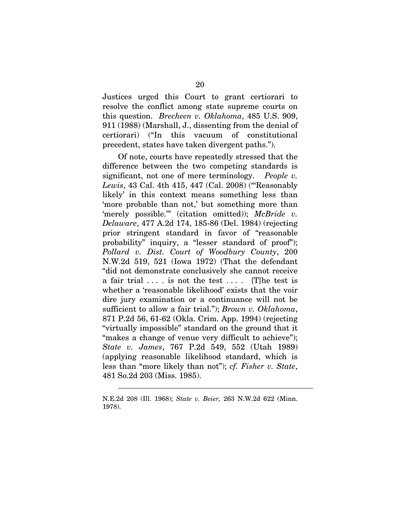Justices urged this Court to grant certiorari to resolve the conflict among state supreme courts on this question. *Brecheen v. Oklahoma*, 485 U.S. 909, 911 (1988) (Marshall, J., dissenting from the denial of certiorari) ("In this vacuum of constitutional precedent, states have taken divergent paths.").

Of note, courts have repeatedly stressed that the difference between the two competing standards is significant, not one of mere terminology. *People v. Lewis*, 43 Cal. 4th 415, 447 (Cal. 2008) ("'Reasonably likely' in this context means something less than 'more probable than not,' but something more than 'merely possible.'" (citation omitted)); *McBride v. Delaware*, 477 A.2d 174, 185-86 (Del. 1984) (rejecting prior stringent standard in favor of "reasonable probability" inquiry, a "lesser standard of proof"); *Pollard v. Dist. Court of Woodbury County*, 200 N.W.2d 519, 521 (Iowa 1972) (That the defendant "did not demonstrate conclusively she cannot receive a fair trial  $\dots$  is not the test  $\dots$ . [T] he test is whether a 'reasonable likelihood' exists that the voir dire jury examination or a continuance will not be sufficient to allow a fair trial."); *Brown v. Oklahoma*, 871 P.2d 56, 61-62 (Okla. Crim. App. 1994) (rejecting "virtually impossible" standard on the ground that it "makes a change of venue very difficult to achieve"); *State v. James*, 767 P.2d 549, 552 (Utah 1989) (applying reasonable likelihood standard, which is less than "more likely than not"); *cf. Fisher v. State*, 481 So.2d 203 (Miss. 1985).

1

N.E.2d 208 (Ill. 1968); *State v. Beier,* 263 N.W.2d 622 (Minn. 1978).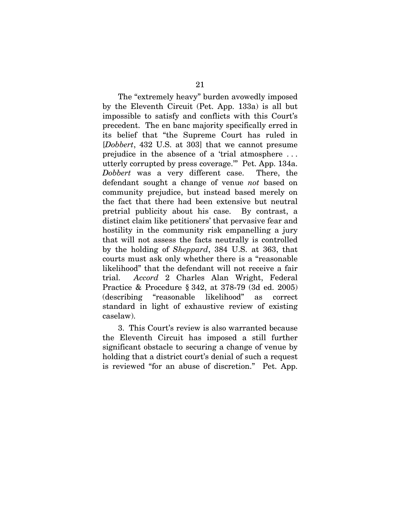The "extremely heavy" burden avowedly imposed by the Eleventh Circuit (Pet. App. 133a) is all but impossible to satisfy and conflicts with this Court's precedent. The en banc majority specifically erred in its belief that "the Supreme Court has ruled in [*Dobbert*, 432 U.S. at 303] that we cannot presume prejudice in the absence of a 'trial atmosphere . . . utterly corrupted by press coverage.'" Pet. App. 134a. *Dobbert* was a very different case. There, the defendant sought a change of venue *not* based on community prejudice, but instead based merely on the fact that there had been extensive but neutral pretrial publicity about his case. By contrast, a distinct claim like petitioners' that pervasive fear and hostility in the community risk empanelling a jury that will not assess the facts neutrally is controlled by the holding of *Sheppard*, 384 U.S. at 363, that courts must ask only whether there is a "reasonable likelihood" that the defendant will not receive a fair trial. *Accord* 2 Charles Alan Wright, Federal Practice & Procedure § 342, at 378-79 (3d ed. 2005) (describing "reasonable likelihood" as correct standard in light of exhaustive review of existing caselaw).

3. This Court's review is also warranted because the Eleventh Circuit has imposed a still further significant obstacle to securing a change of venue by holding that a district court's denial of such a request is reviewed "for an abuse of discretion." Pet. App.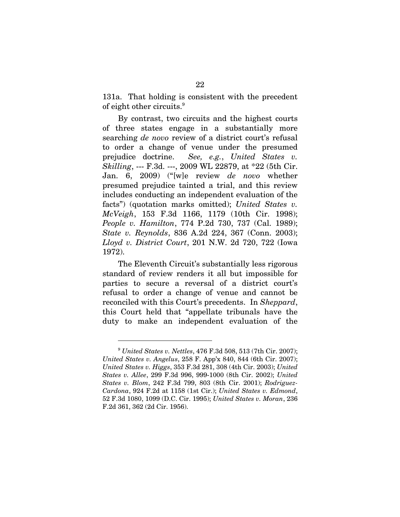131a. That holding is consistent with the precedent of eight other circuits.<sup>9</sup>

By contrast, two circuits and the highest courts of three states engage in a substantially more searching *de novo* review of a district court's refusal to order a change of venue under the presumed prejudice doctrine. *See, e.g.*, *United States v. Skilling*, --- F.3d. ---, 2009 WL 22879, at \*22 (5th Cir. Jan. 6, 2009) ("[w]e review *de novo* whether presumed prejudice tainted a trial, and this review includes conducting an independent evaluation of the facts") (quotation marks omitted); *United States v. McVeigh*, 153 F.3d 1166, 1179 (10th Cir. 1998); *People v. Hamilton*, 774 P.2d 730, 737 (Cal. 1989); *State v. Reynolds*, 836 A.2d 224, 367 (Conn. 2003); *Lloyd v. District Court*, 201 N.W. 2d 720, 722 (Iowa 1972).

The Eleventh Circuit's substantially less rigorous standard of review renders it all but impossible for parties to secure a reversal of a district court's refusal to order a change of venue and cannot be reconciled with this Court's precedents. In *Sheppard*, this Court held that "appellate tribunals have the duty to make an independent evaluation of the

<sup>9</sup> *United States v. Nettles*, 476 F.3d 508, 513 (7th Cir. 2007); *United States v. Angelus*, 258 F. App'x 840, 844 (6th Cir. 2007); *United States v. Higgs*, 353 F.3d 281, 308 (4th Cir. 2003); *United States v. Allee*, 299 F.3d 996, 999-1000 (8th Cir. 2002); *United States v. Blom*, 242 F.3d 799, 803 (8th Cir. 2001); *Rodriguez-Cardona*, 924 F.2d at 1158 (1st Cir.); *United States v. Edmond*, 52 F.3d 1080, 1099 (D.C. Cir. 1995); *United States v. Moran*, 236 F.2d 361, 362 (2d Cir. 1956).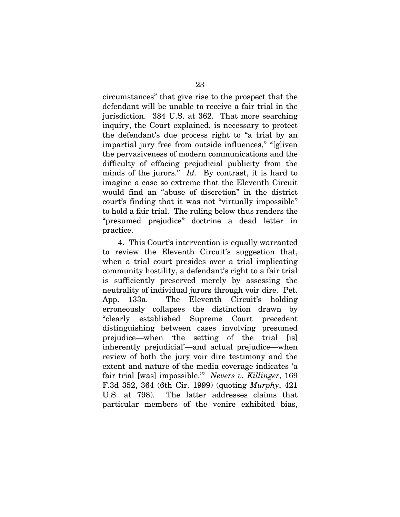circumstances" that give rise to the prospect that the defendant will be unable to receive a fair trial in the jurisdiction. 384 U.S. at 362. That more searching inquiry, the Court explained, is necessary to protect the defendant's due process right to "a trial by an impartial jury free from outside influences," "[g]iven the pervasiveness of modern communications and the difficulty of effacing prejudicial publicity from the minds of the jurors." *Id.* By contrast, it is hard to imagine a case so extreme that the Eleventh Circuit would find an "abuse of discretion" in the district court's finding that it was not "virtually impossible" to hold a fair trial. The ruling below thus renders the "presumed prejudice" doctrine a dead letter in practice.

4. This Court's intervention is equally warranted to review the Eleventh Circuit's suggestion that, when a trial court presides over a trial implicating community hostility, a defendant's right to a fair trial is sufficiently preserved merely by assessing the neutrality of individual jurors through voir dire. Pet. App. 133a. The Eleventh Circuit's holding erroneously collapses the distinction drawn by "clearly established Supreme Court precedent distinguishing between cases involving presumed prejudice—when 'the setting of the trial [is] inherently prejudicial'—and actual prejudice—when review of both the jury voir dire testimony and the extent and nature of the media coverage indicates 'a fair trial [was] impossible.'" *Nevers v. Killinger*, 169 F.3d 352, 364 (6th Cir. 1999) (quoting *Murphy*, 421 U.S. at 798). The latter addresses claims that particular members of the venire exhibited bias,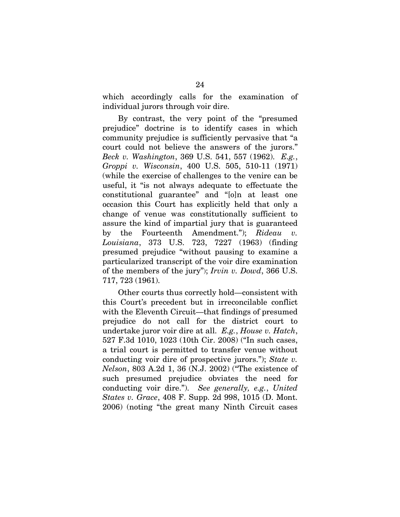which accordingly calls for the examination of individual jurors through voir dire.

By contrast, the very point of the "presumed prejudice" doctrine is to identify cases in which community prejudice is sufficiently pervasive that "a court could not believe the answers of the jurors." *Beck v. Washington*, 369 U.S. 541, 557 (1962). *E.g.*, *Groppi v. Wisconsin*, 400 U.S. 505, 510-11 (1971) (while the exercise of challenges to the venire can be useful, it "is not always adequate to effectuate the constitutional guarantee" and "[o]n at least one occasion this Court has explicitly held that only a change of venue was constitutionally sufficient to assure the kind of impartial jury that is guaranteed by the Fourteenth Amendment."); *Rideau v. Louisiana*, 373 U.S. 723, 7227 (1963) (finding presumed prejudice "without pausing to examine a particularized transcript of the voir dire examination of the members of the jury"); *Irvin v. Dowd*, 366 U.S. 717, 723 (1961).

Other courts thus correctly hold—consistent with this Court's precedent but in irreconcilable conflict with the Eleventh Circuit—that findings of presumed prejudice do not call for the district court to undertake juror voir dire at all. *E.g.*, *House v. Hatch*, 527 F.3d 1010, 1023 (10th Cir. 2008) ("In such cases, a trial court is permitted to transfer venue without conducting voir dire of prospective jurors."); *State v. Nelson*, 803 A.2d 1, 36 (N.J. 2002) ("The existence of such presumed prejudice obviates the need for conducting voir dire."). *See generally, e.g.*, *United States v. Grace*, 408 F. Supp. 2d 998, 1015 (D. Mont. 2006) (noting "the great many Ninth Circuit cases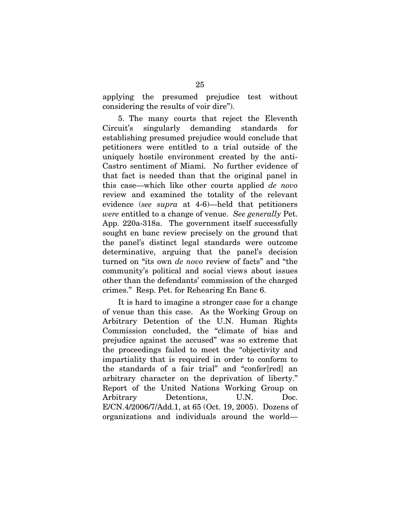applying the presumed prejudice test without considering the results of voir dire").

5. The many courts that reject the Eleventh Circuit's singularly demanding standards for establishing presumed prejudice would conclude that petitioners were entitled to a trial outside of the uniquely hostile environment created by the anti-Castro sentiment of Miami. No further evidence of that fact is needed than that the original panel in this case—which like other courts applied *de novo* review and examined the totality of the relevant evidence (*see supra* at 4-6)—held that petitioners *were* entitled to a change of venue. *See generally* Pet. App. 220a-318a. The government itself successfully sought en banc review precisely on the ground that the panel's distinct legal standards were outcome determinative, arguing that the panel's decision turned on "its own *de novo* review of facts" and "the community's political and social views about issues other than the defendants' commission of the charged crimes." Resp. Pet. for Rehearing En Banc 6.

It is hard to imagine a stronger case for a change of venue than this case. As the Working Group on Arbitrary Detention of the U.N. Human Rights Commission concluded, the "climate of bias and prejudice against the accused" was so extreme that the proceedings failed to meet the "objectivity and impartiality that is required in order to conform to the standards of a fair trial" and "confer[red] an arbitrary character on the deprivation of liberty." Report of the United Nations Working Group on Arbitrary Detentions, U.N. Doc. E/CN.4/2006/7/Add.1, at 65 (Oct. 19, 2005). Dozens of organizations and individuals around the world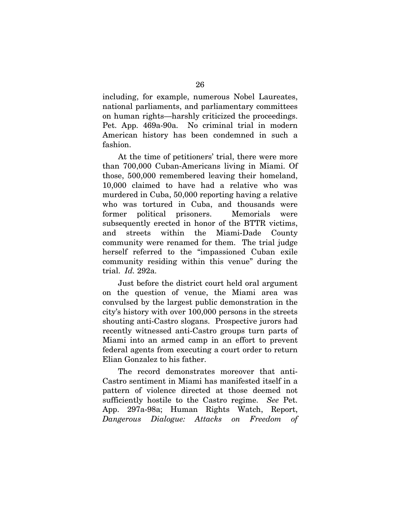including, for example, numerous Nobel Laureates, national parliaments, and parliamentary committees on human rights—harshly criticized the proceedings. Pet. App. 469a-90a. No criminal trial in modern American history has been condemned in such a fashion.

At the time of petitioners' trial, there were more than 700,000 Cuban-Americans living in Miami. Of those, 500,000 remembered leaving their homeland, 10,000 claimed to have had a relative who was murdered in Cuba, 50,000 reporting having a relative who was tortured in Cuba, and thousands were former political prisoners. Memorials were subsequently erected in honor of the BTTR victims, and streets within the Miami-Dade County community were renamed for them. The trial judge herself referred to the "impassioned Cuban exile community residing within this venue" during the trial. *Id.* 292a.

Just before the district court held oral argument on the question of venue, the Miami area was convulsed by the largest public demonstration in the city's history with over 100,000 persons in the streets shouting anti-Castro slogans. Prospective jurors had recently witnessed anti-Castro groups turn parts of Miami into an armed camp in an effort to prevent federal agents from executing a court order to return Elian Gonzalez to his father.

The record demonstrates moreover that anti-Castro sentiment in Miami has manifested itself in a pattern of violence directed at those deemed not sufficiently hostile to the Castro regime. *See* Pet. App. 297a-98a; Human Rights Watch, Report, *Dangerous Dialogue: Attacks on Freedom of*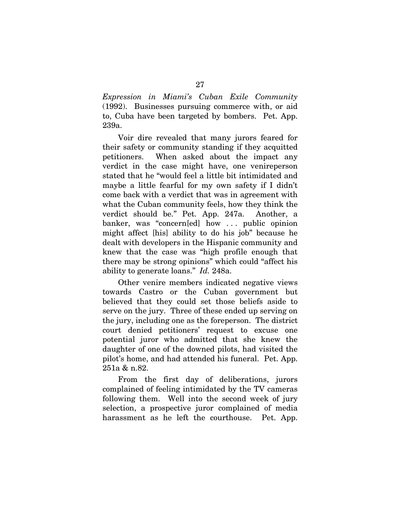*Expression in Miami's Cuban Exile Community* (1992). Businesses pursuing commerce with, or aid to, Cuba have been targeted by bombers. Pet. App. 239a.

Voir dire revealed that many jurors feared for their safety or community standing if they acquitted petitioners. When asked about the impact any verdict in the case might have, one venireperson stated that he "would feel a little bit intimidated and maybe a little fearful for my own safety if I didn't come back with a verdict that was in agreement with what the Cuban community feels, how they think the verdict should be." Pet. App. 247a. Another, a banker, was "concern[ed] how . . . public opinion might affect [his] ability to do his job" because he dealt with developers in the Hispanic community and knew that the case was "high profile enough that there may be strong opinions" which could "affect his ability to generate loans." *Id.* 248a.

Other venire members indicated negative views towards Castro or the Cuban government but believed that they could set those beliefs aside to serve on the jury. Three of these ended up serving on the jury, including one as the foreperson. The district court denied petitioners' request to excuse one potential juror who admitted that she knew the daughter of one of the downed pilots, had visited the pilot's home, and had attended his funeral. Pet. App. 251a & n.82.

From the first day of deliberations, jurors complained of feeling intimidated by the TV cameras following them. Well into the second week of jury selection, a prospective juror complained of media harassment as he left the courthouse. Pet. App.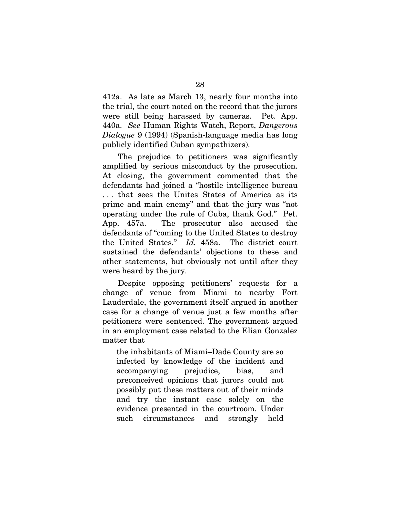412a. As late as March 13, nearly four months into the trial, the court noted on the record that the jurors were still being harassed by cameras. Pet. App. 440a. *See* Human Rights Watch, Report, *Dangerous Dialogue* 9 (1994) (Spanish-language media has long publicly identified Cuban sympathizers).

The prejudice to petitioners was significantly amplified by serious misconduct by the prosecution. At closing, the government commented that the defendants had joined a "hostile intelligence bureau . . . that sees the Unites States of America as its prime and main enemy" and that the jury was "not operating under the rule of Cuba, thank God." Pet. App. 457a. The prosecutor also accused the defendants of "coming to the United States to destroy the United States." *Id.* 458a. The district court sustained the defendants' objections to these and other statements, but obviously not until after they were heard by the jury.

Despite opposing petitioners' requests for a change of venue from Miami to nearby Fort Lauderdale, the government itself argued in another case for a change of venue just a few months after petitioners were sentenced. The government argued in an employment case related to the Elian Gonzalez matter that

the inhabitants of Miami–Dade County are so infected by knowledge of the incident and accompanying prejudice, bias, and preconceived opinions that jurors could not possibly put these matters out of their minds and try the instant case solely on the evidence presented in the courtroom. Under such circumstances and strongly held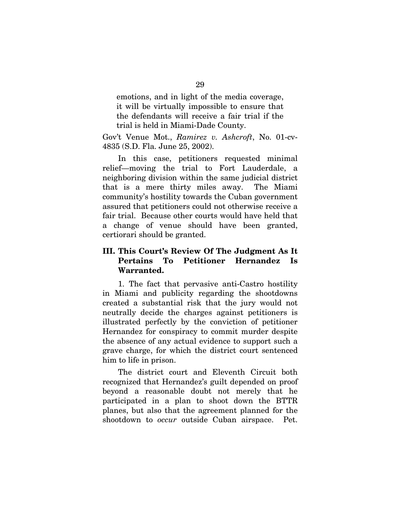emotions, and in light of the media coverage, it will be virtually impossible to ensure that the defendants will receive a fair trial if the trial is held in Miami-Dade County.

Gov't Venue Mot., *Ramirez v. Ashcroft*, No. 01-cv-4835 (S.D. Fla. June 25, 2002).

In this case, petitioners requested minimal relief—moving the trial to Fort Lauderdale, a neighboring division within the same judicial district that is a mere thirty miles away. The Miami community's hostility towards the Cuban government assured that petitioners could not otherwise receive a fair trial. Because other courts would have held that a change of venue should have been granted, certiorari should be granted.

## **III. This Court's Review Of The Judgment As It Pertains To Petitioner Hernandez Is Warranted.**

1. The fact that pervasive anti-Castro hostility in Miami and publicity regarding the shootdowns created a substantial risk that the jury would not neutrally decide the charges against petitioners is illustrated perfectly by the conviction of petitioner Hernandez for conspiracy to commit murder despite the absence of any actual evidence to support such a grave charge, for which the district court sentenced him to life in prison.

The district court and Eleventh Circuit both recognized that Hernandez's guilt depended on proof beyond a reasonable doubt not merely that he participated in a plan to shoot down the BTTR planes, but also that the agreement planned for the shootdown to *occur* outside Cuban airspace. Pet.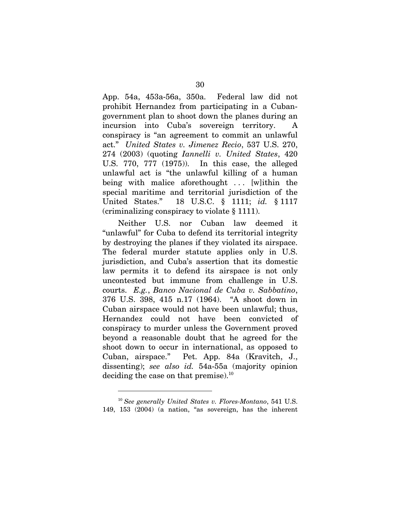App. 54a, 453a-56a, 350a. Federal law did not prohibit Hernandez from participating in a Cubangovernment plan to shoot down the planes during an incursion into Cuba's sovereign territory. conspiracy is "an agreement to commit an unlawful act." *United States v. Jimenez Recio*, 537 U.S. 270, 274 (2003) (quoting *Iannelli v. United States*, 420 U.S. 770, 777 (1975)). In this case, the alleged unlawful act is "the unlawful killing of a human being with malice aforethought ... [w]ithin the special maritime and territorial jurisdiction of the United States." 18 U.S.C. § 1111; *id.* § 1117 (criminalizing conspiracy to violate § 1111).

Neither U.S. nor Cuban law deemed it "unlawful" for Cuba to defend its territorial integrity by destroying the planes if they violated its airspace. The federal murder statute applies only in U.S. jurisdiction, and Cuba's assertion that its domestic law permits it to defend its airspace is not only uncontested but immune from challenge in U.S. courts. *E.g.*, *Banco Nacional de Cuba v. Sabbatino*, 376 U.S. 398, 415 n.17 (1964). "A shoot down in Cuban airspace would not have been unlawful; thus, Hernandez could not have been convicted of conspiracy to murder unless the Government proved beyond a reasonable doubt that he agreed for the shoot down to occur in international, as opposed to Cuban, airspace." Pet. App. 84a (Kravitch, J., dissenting); *see also id.* 54a-55a (majority opinion deciding the case on that premise). $^{10}$ 

l

<sup>10</sup> *See generally United States v. Flores-Montano*, 541 U.S. 149, 153 (2004) (a nation, "as sovereign, has the inherent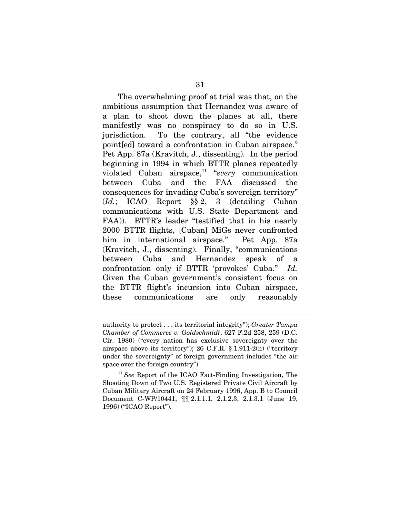The overwhelming proof at trial was that, on the ambitious assumption that Hernandez was aware of a plan to shoot down the planes at all, there manifestly was no conspiracy to do so in U.S. jurisdiction. To the contrary, all "the evidence point[ed] toward a confrontation in Cuban airspace." Pet App. 87a (Kravitch, J., dissenting). In the period beginning in 1994 in which BTTR planes repeatedly violated Cuban airspace,11 "*every* communication between Cuba and the FAA discussed the consequences for invading Cuba's sovereign territory" (*Id.*; ICAO Report §§ 2, 3 (detailing Cuban communications with U.S. State Department and FAA)). BTTR's leader "testified that in his nearly 2000 BTTR flights, [Cuban] MiGs never confronted him in international airspace." Pet App. 87a (Kravitch, J., dissenting). Finally, "communications between Cuba and Hernandez speak of a confrontation only if BTTR 'provokes' Cuba." *Id.* Given the Cuban government's consistent focus on the BTTR flight's incursion into Cuban airspace, these communications are only reasonably

 $\overline{a}$ 

authority to protect . . . its territorial integrity"); *Greater Tampa Chamber of Commerce v. Goldschmidt*, 627 F.2d 258, 259 (D.C. Cir. 1980) ("every nation has exclusive sovereignty over the airspace above its territory"); 26 C.F.R. § 1.911-2(h) ("territory under the sovereignty" of foreign government includes "the air space over the foreign country").

<sup>11</sup> *See* Report of the ICAO Fact-Finding Investigation, The Shooting Down of Two U.S. Registered Private Civil Aircraft by Cuban Military Aircraft on 24 February 1996, App. B to Council Document C-WP/10441, ¶¶ 2.1.1.1, 2.1.2.3, 2.1.3.1 (June 19, 1996) ("ICAO Report").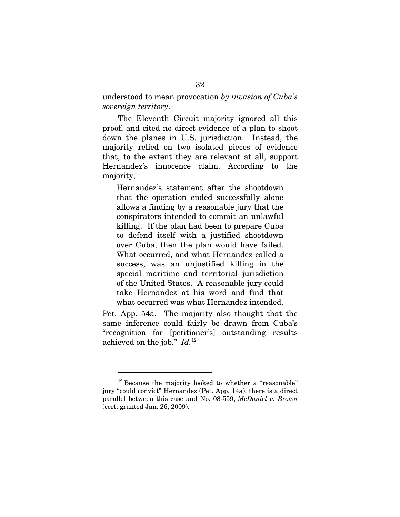understood to mean provocation *by invasion of Cuba's sovereign territory*.

The Eleventh Circuit majority ignored all this proof, and cited no direct evidence of a plan to shoot down the planes in U.S. jurisdiction. Instead, the majority relied on two isolated pieces of evidence that, to the extent they are relevant at all, support Hernandez's innocence claim. According to the majority,

Hernandez's statement after the shootdown that the operation ended successfully alone allows a finding by a reasonable jury that the conspirators intended to commit an unlawful killing. If the plan had been to prepare Cuba to defend itself with a justified shootdown over Cuba, then the plan would have failed. What occurred, and what Hernandez called a success, was an unjustified killing in the special maritime and territorial jurisdiction of the United States. A reasonable jury could take Hernandez at his word and find that what occurred was what Hernandez intended.

Pet. App. 54a. The majority also thought that the same inference could fairly be drawn from Cuba's "recognition for [petitioner's] outstanding results achieved on the job." *Id.*<sup>12</sup>

l

<sup>&</sup>lt;sup>12</sup> Because the majority looked to whether a "reasonable" jury "could convict" Hernandez (Pet. App. 14a), there is a direct parallel between this case and No. 08-559, *McDaniel v. Brown* (cert. granted Jan. 26, 2009).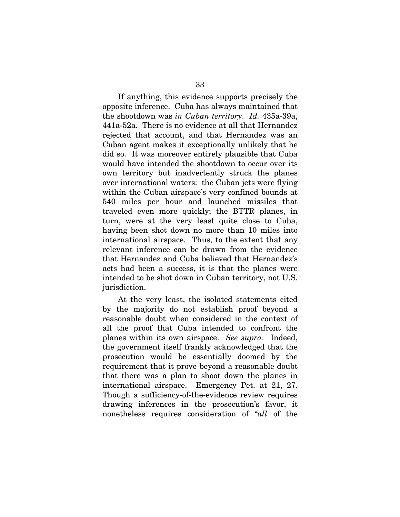If anything, this evidence supports precisely the opposite inference. Cuba has always maintained that the shootdown was *in Cuban territory*. *Id.* 435a-39a, 441a-52a. There is no evidence at all that Hernandez rejected that account, and that Hernandez was an Cuban agent makes it exceptionally unlikely that he did so. It was moreover entirely plausible that Cuba would have intended the shootdown to occur over its own territory but inadvertently struck the planes over international waters: the Cuban jets were flying within the Cuban airspace's very confined bounds at 540 miles per hour and launched missiles that traveled even more quickly; the BTTR planes, in turn, were at the very least quite close to Cuba, having been shot down no more than 10 miles into international airspace. Thus, to the extent that any relevant inference can be drawn from the evidence that Hernandez and Cuba believed that Hernandez's acts had been a success, it is that the planes were intended to be shot down in Cuban territory, not U.S. jurisdiction.

At the very least, the isolated statements cited by the majority do not establish proof beyond a reasonable doubt when considered in the context of all the proof that Cuba intended to confront the planes within its own airspace. *See supra*. Indeed, the government itself frankly acknowledged that the prosecution would be essentially doomed by the requirement that it prove beyond a reasonable doubt that there was a plan to shoot down the planes in international airspace. Emergency Pet. at 21, 27. Though a sufficiency-of-the-evidence review requires drawing inferences in the prosecution's favor, it nonetheless requires consideration of "*all* of the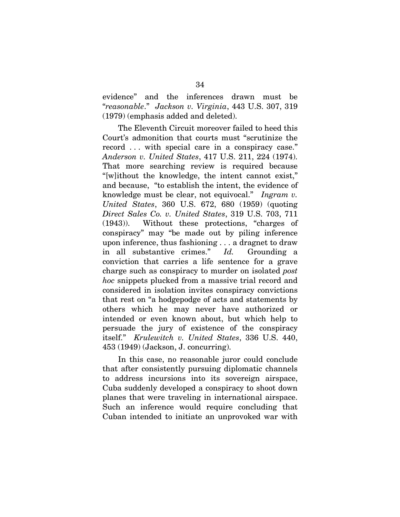evidence" and the inferences drawn must be "*reasonable*." *Jackson v. Virginia*, 443 U.S. 307, 319 (1979) (emphasis added and deleted).

The Eleventh Circuit moreover failed to heed this Court's admonition that courts must "scrutinize the record . . . with special care in a conspiracy case." *Anderson v. United States*, 417 U.S. 211, 224 (1974). That more searching review is required because "[w]ithout the knowledge, the intent cannot exist," and because, "to establish the intent, the evidence of knowledge must be clear, not equivocal." *Ingram v. United States*, 360 U.S. 672, 680 (1959) (quoting *Direct Sales Co. v. United States*, 319 U.S. 703, 711 (1943)). Without these protections, "charges of conspiracy" may "be made out by piling inference upon inference, thus fashioning . . . a dragnet to draw in all substantive crimes." *Id.* Grounding a conviction that carries a life sentence for a grave charge such as conspiracy to murder on isolated *post hoc* snippets plucked from a massive trial record and considered in isolation invites conspiracy convictions that rest on "a hodgepodge of acts and statements by others which he may never have authorized or intended or even known about, but which help to persuade the jury of existence of the conspiracy itself." *Krulewitch v. United States*, 336 U.S. 440, 453 (1949) (Jackson, J. concurring).

In this case, no reasonable juror could conclude that after consistently pursuing diplomatic channels to address incursions into its sovereign airspace, Cuba suddenly developed a conspiracy to shoot down planes that were traveling in international airspace. Such an inference would require concluding that Cuban intended to initiate an unprovoked war with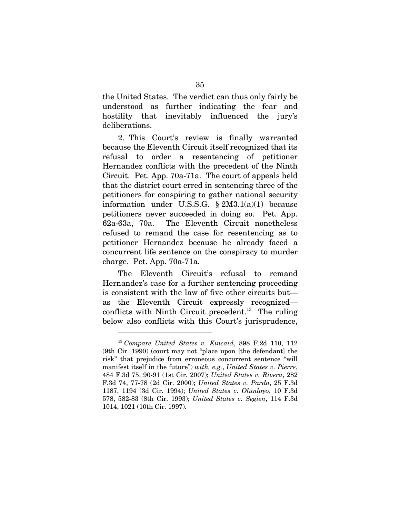the United States. The verdict can thus only fairly be understood as further indicating the fear and hostility that inevitably influenced the jury's deliberations.

2. This Court's review is finally warranted because the Eleventh Circuit itself recognized that its refusal to order a resentencing of petitioner Hernandez conflicts with the precedent of the Ninth Circuit. Pet. App. 70a-71a. The court of appeals held that the district court erred in sentencing three of the petitioners for conspiring to gather national security information under U.S.S.G.  $\S 2M3.1(a)(1)$  because petitioners never succeeded in doing so. Pet. App. 62a-63a, 70a. The Eleventh Circuit nonetheless refused to remand the case for resentencing as to petitioner Hernandez because he already faced a concurrent life sentence on the conspiracy to murder charge. Pet. App. 70a-71a.

The Eleventh Circuit's refusal to remand Hernandez's case for a further sentencing proceeding is consistent with the law of five other circuits but as the Eleventh Circuit expressly recognized conflicts with Ninth Circuit precedent.<sup>13</sup> The ruling below also conflicts with this Court's jurisprudence,

l

<sup>13</sup> *Compare United States v. Kincaid*, 898 F.2d 110, 112 (9th Cir. 1990) (court may not "place upon [the defendant] the risk" that prejudice from erroneous concurrent sentence "will manifest itself in the future") *with, e.g.*, *United States v. Pierre*, 484 F.3d 75, 90-91 (1st Cir. 2007); *United States v. Rivera*, 282 F.3d 74, 77-78 (2d Cir. 2000); *United States v. Pardo*, 25 F.3d 1187, 1194 (3d Cir. 1994); *United States v. Olunloyo*, 10 F.3d 578, 582-83 (8th Cir. 1993); *United States v. Segien*, 114 F.3d 1014, 1021 (10th Cir. 1997).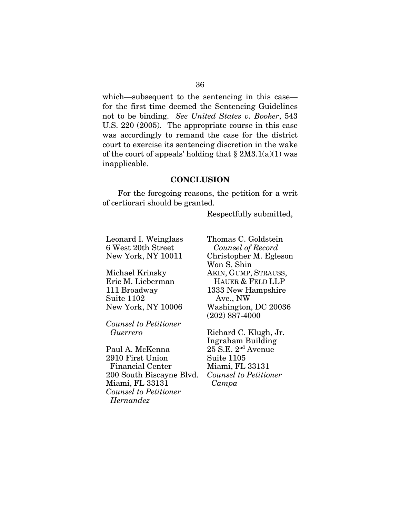which—subsequent to the sentencing in this case for the first time deemed the Sentencing Guidelines not to be binding. *See United States v. Booker*, 543 U.S. 220 (2005). The appropriate course in this case was accordingly to remand the case for the district court to exercise its sentencing discretion in the wake of the court of appeals' holding that  $\S 2M3.1(a)(1)$  was inapplicable.

#### **CONCLUSION**

For the foregoing reasons, the petition for a writ of certiorari should be granted.

Respectfully submitted,

Leonard I. Weinglass 6 West 20th Street New York, NY 10011

Michael Krinsky Eric M. Lieberman 111 Broadway Suite 1102 New York, NY 10006

*Counsel to Petitioner Guerrero* 

Paul A. McKenna 2910 First Union Financial Center 200 South Biscayne Blvd. Miami, FL 33131 *Counsel to Petitioner Hernandez* 

Thomas C. Goldstein *Counsel of Record*  Christopher M. Egleson Won S. Shin AKIN, GUMP, STRAUSS, HAUER & FELD LLP 1333 New Hampshire Ave., NW Washington, DC 20036 (202) 887-4000

Richard C. Klugh, Jr. Ingraham Building  $25$  S.E.  $2<sup>nd</sup>$  Avenue Suite 1105 Miami, FL 33131 *Counsel to Petitioner Campa*